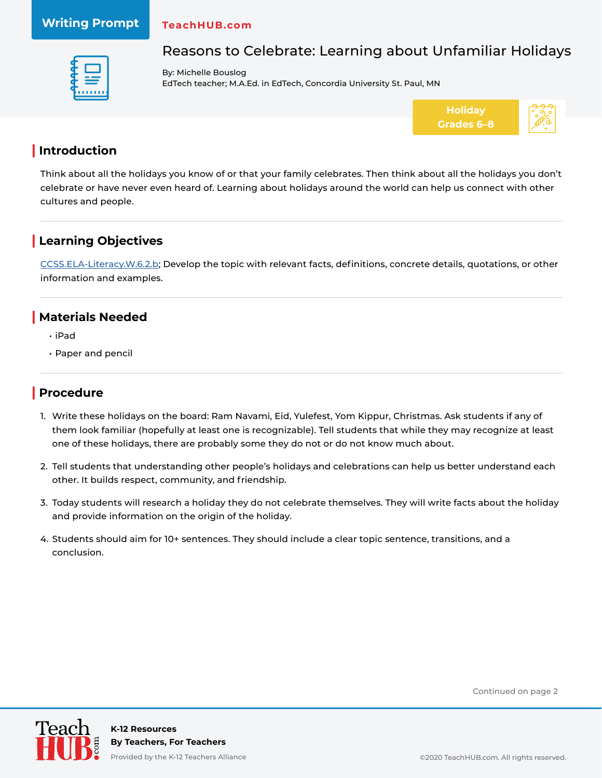#### **Writing Prompt**

#### **TeachHUB.com**



# Reasons to Celebrate: Learning about Unfamiliar Holidays

By: Michelle Bouslog EdTech teacher; M.A.Ed. in EdTech, Concordia University St. Paul, MN



### **| Introduction**

Think about all the holidays you know of or that your family celebrates. Then think about all the holidays you don't celebrate or have never even heard of. Learning about holidays around the world can help us connect with other cultures and people.

## **| Learning Objectives**

[CCSS.ELA-Literacy.W.6.2.b](http://www.corestandards.org/ELA-Literacy/W/6/2/b/); Develop the topic with relevant facts, definitions, concrete details, quotations, or other information and examples.

#### **| Materials Needed**

- iPad
- Paper and pencil

## **| Procedure**

- 1. Write these holidays on the board: Ram Navami, Eid, Yulefest, Yom Kippur, Christmas. Ask students if any of them look familiar (hopefully at least one is recognizable). Tell students that while they may recognize at least one of these holidays, there are probably some they do not or do not know much about.
- 2. Tell students that understanding other people's holidays and celebrations can help us better understand each other. It builds respect, community, and friendship.
- 3. Today students will research a holiday they do not celebrate themselves. They will write facts about the holiday and provide information on the origin of the holiday.
- 4. Students should aim for 10+ sentences. They should include a clear topic sentence, transitions, and a conclusion.

Continued on page 2